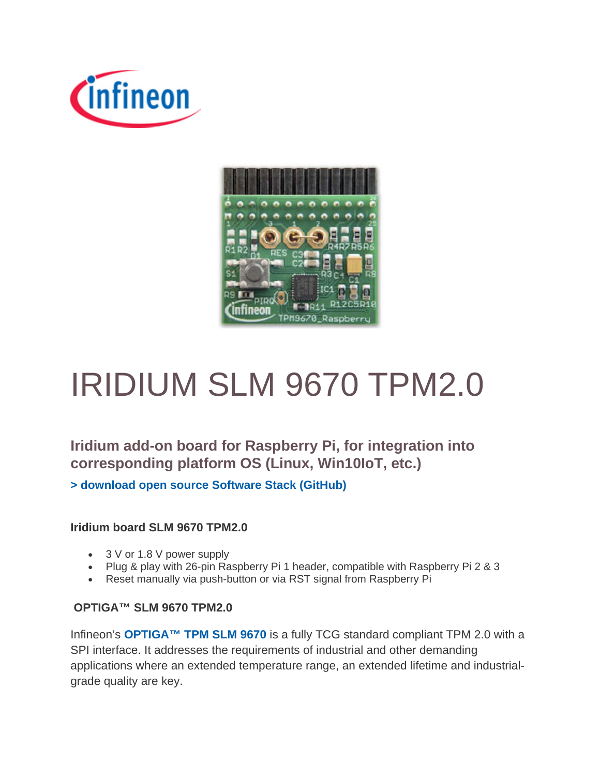



# IRIDIUM SLM 9670 TPM2.0

**Iridium add-on board for Raspberry Pi, for integration into corresponding platform OS (Linux, Win10IoT, etc.) > download open source Software Stack (GitHub)**

#### **Iridium board SLM 9670 TPM2.0**

- 3 V or 1.8 V power supply
- Plug & play with 26-pin Raspberry Pi 1 header, compatible with Raspberry Pi 2 & 3
- Reset manually via push-button or via RST signal from Raspberry Pi

#### **OPTIGA™ SLM 9670 TPM2.0**

Infineon's **OPTIGA™ TPM SLM 9670** is a fully TCG standard compliant TPM 2.0 with a SPI interface. It addresses the requirements of industrial and other demanding applications where an extended temperature range, an extended lifetime and industrialgrade quality are key.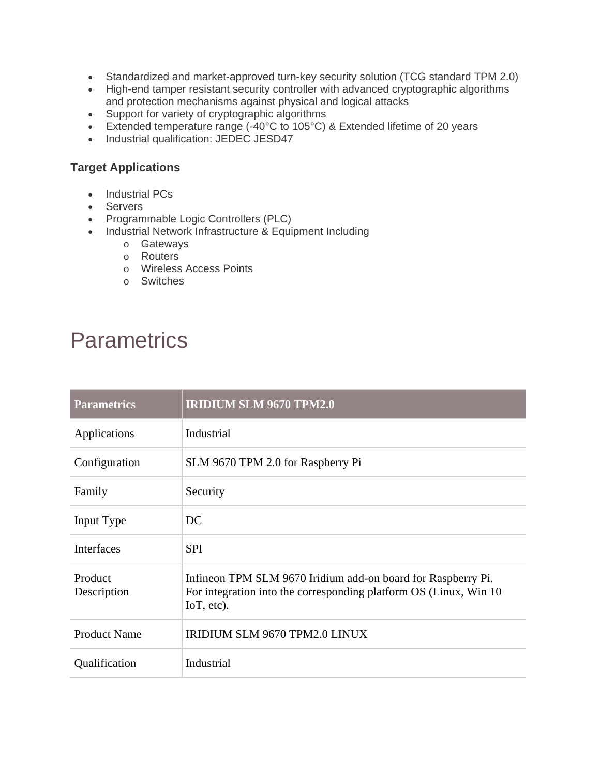- Standardized and market-approved turn-key security solution (TCG standard TPM 2.0)
- High-end tamper resistant security controller with advanced cryptographic algorithms and protection mechanisms against physical and logical attacks
- Support for variety of cryptographic algorithms
- Extended temperature range (-40°C to 105°C) & Extended lifetime of 20 years
- Industrial qualification: JEDEC JESD47

#### **Target Applications**

- Industrial PCs
- Servers
- Programmable Logic Controllers (PLC)
- Industrial Network Infrastructure & Equipment Including
	- o Gateways
	- o Routers
	- o Wireless Access Points
	- o Switches

### **Parametrics**

| <b>Parametrics</b>     | <b>IRIDIUM SLM 9670 TPM2.0</b>                                                                                                                   |  |
|------------------------|--------------------------------------------------------------------------------------------------------------------------------------------------|--|
| Applications           | Industrial                                                                                                                                       |  |
| Configuration          | SLM 9670 TPM 2.0 for Raspberry Pi                                                                                                                |  |
| Family                 | Security                                                                                                                                         |  |
| Input Type             | DC                                                                                                                                               |  |
| <b>Interfaces</b>      | <b>SPI</b>                                                                                                                                       |  |
| Product<br>Description | Infineon TPM SLM 9670 Iridium add-on board for Raspberry Pi.<br>For integration into the corresponding platform OS (Linux, Win 10)<br>IoT, etc). |  |
| <b>Product Name</b>    | IRIDIUM SLM 9670 TPM2.0 LINUX                                                                                                                    |  |
| Qualification          | Industrial                                                                                                                                       |  |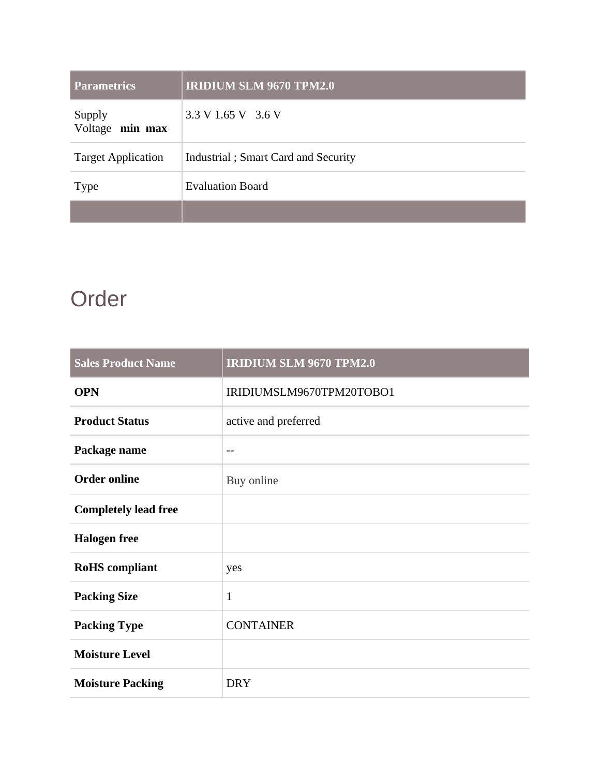| <b>Parametrics</b>        | <b>IRIDIUM SLM 9670 TPM2.0</b>      |
|---------------------------|-------------------------------------|
| Supply<br>Voltage min max | 3.3 V 1.65 V 3.6 V                  |
| <b>Target Application</b> | Industrial; Smart Card and Security |
| <b>Type</b>               | <b>Evaluation Board</b>             |
|                           |                                     |

### Order

| <b>Sales Product Name</b>   | <b>IRIDIUM SLM 9670 TPM2.0</b> |
|-----------------------------|--------------------------------|
| <b>OPN</b>                  | IRIDIUMSLM9670TPM20TOBO1       |
| <b>Product Status</b>       | active and preferred           |
| Package name                | $\overline{\phantom{m}}$       |
| <b>Order online</b>         | Buy online                     |
| <b>Completely lead free</b> |                                |
| <b>Halogen</b> free         |                                |
| <b>RoHS</b> compliant       | yes                            |
| <b>Packing Size</b>         | $\mathbf{1}$                   |
| <b>Packing Type</b>         | <b>CONTAINER</b>               |
| <b>Moisture Level</b>       |                                |
| <b>Moisture Packing</b>     | <b>DRY</b>                     |